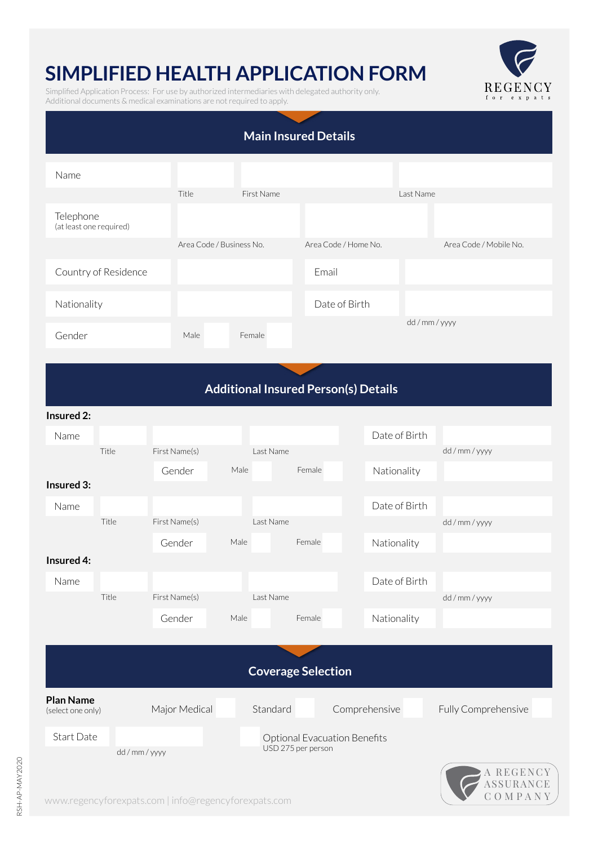## **SIMPLIFIED HEALTH APPLICATION FORM**

Simplified Application Process: For use by authorized intermediaries with delegated authority only. Additional documents & medical examinations are not required to apply.



| <b>Main Insured Details</b>                 |                      |               |                          |                           |                                     |               |                                |  |  |  |  |
|---------------------------------------------|----------------------|---------------|--------------------------|---------------------------|-------------------------------------|---------------|--------------------------------|--|--|--|--|
| Name                                        |                      |               |                          |                           |                                     |               |                                |  |  |  |  |
|                                             |                      | Title         | First Name               |                           |                                     | Last Name     |                                |  |  |  |  |
| Telephone<br>(at least one required)        |                      |               |                          |                           |                                     |               |                                |  |  |  |  |
|                                             |                      |               | Area Code / Business No. |                           | Area Code / Home No.                |               | Area Code / Mobile No.         |  |  |  |  |
|                                             | Country of Residence |               |                          |                           | Email                               |               |                                |  |  |  |  |
| Nationality                                 |                      |               |                          |                           | Date of Birth                       |               |                                |  |  |  |  |
| Gender                                      |                      | Male          | Female                   |                           |                                     |               | dd / mm / yyyy                 |  |  |  |  |
| <b>Additional Insured Person(s) Details</b> |                      |               |                          |                           |                                     |               |                                |  |  |  |  |
| Insured 2:                                  |                      |               |                          |                           |                                     |               |                                |  |  |  |  |
| Name                                        |                      |               |                          |                           |                                     | Date of Birth |                                |  |  |  |  |
|                                             | Title                | First Name(s) |                          | Last Name                 |                                     |               | dd / mm / yyyy                 |  |  |  |  |
| Insured 3:                                  |                      | Gender        | Male                     | Female                    |                                     | Nationality   |                                |  |  |  |  |
| Name                                        |                      |               |                          |                           |                                     | Date of Birth |                                |  |  |  |  |
|                                             | Title                | First Name(s) |                          | Last Name                 |                                     |               | dd / mm / yyyy                 |  |  |  |  |
|                                             |                      | Gender        | Male                     | Female                    |                                     | Nationality   |                                |  |  |  |  |
| Insured 4:<br>Name                          |                      |               |                          |                           |                                     | Date of Birth |                                |  |  |  |  |
|                                             | Title                | First Name(s) |                          | Last Name                 |                                     |               | dd / mm / yyyy                 |  |  |  |  |
|                                             |                      | Gender        | Male                     | Female                    |                                     | Nationality   |                                |  |  |  |  |
|                                             |                      |               |                          |                           |                                     |               |                                |  |  |  |  |
|                                             |                      |               |                          | <b>Coverage Selection</b> |                                     |               |                                |  |  |  |  |
| <b>Plan Name</b><br>(select one only)       |                      | Major Medical |                          | Standard                  | Comprehensive                       |               | Fully Comprehensive            |  |  |  |  |
| Start Date<br>dd / mm / yyyy                |                      |               |                          | USD 275 per person        | <b>Optional Evacuation Benefits</b> |               |                                |  |  |  |  |
|                                             |                      |               |                          |                           |                                     |               | A REGENCY<br>ASSURANCE<br>OMPA |  |  |  |  |

www.regencyforexpats.com | info@regencyforexpats.com